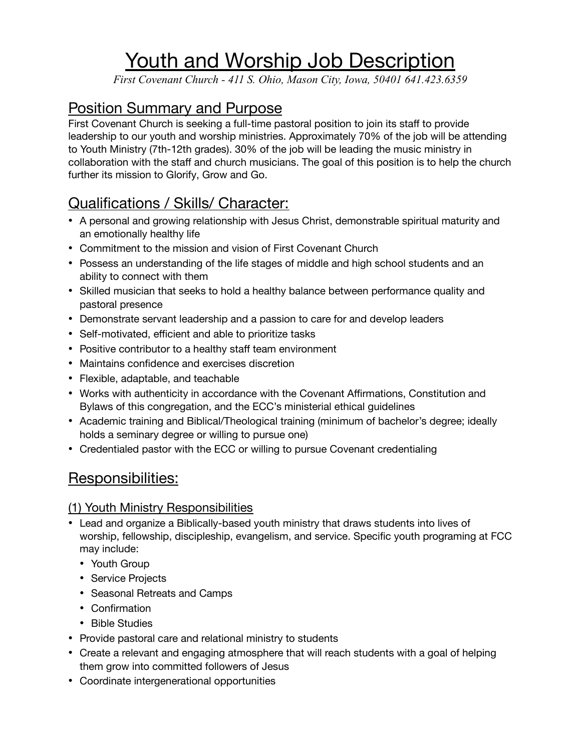# Youth and Worship Job Description

*First Covenant Church - 411 S. Ohio, Mason City, Iowa, 50401 641.423.6359*

# Position Summary and Purpose

First Covenant Church is seeking a full-time pastoral position to join its staff to provide leadership to our youth and worship ministries. Approximately 70% of the job will be attending to Youth Ministry (7th-12th grades). 30% of the job will be leading the music ministry in collaboration with the staff and church musicians. The goal of this position is to help the church further its mission to Glorify, Grow and Go.

# Qualifications / Skills/ Character:

- A personal and growing relationship with Jesus Christ, demonstrable spiritual maturity and an emotionally healthy life
- Commitment to the mission and vision of First Covenant Church
- Possess an understanding of the life stages of middle and high school students and an ability to connect with them
- Skilled musician that seeks to hold a healthy balance between performance quality and pastoral presence
- Demonstrate servant leadership and a passion to care for and develop leaders
- Self-motivated, efficient and able to prioritize tasks
- Positive contributor to a healthy staff team environment
- Maintains confidence and exercises discretion
- Flexible, adaptable, and teachable
- Works with authenticity in accordance with the Covenant Affirmations, Constitution and Bylaws of this congregation, and the ECC's ministerial ethical guidelines
- Academic training and Biblical/Theological training (minimum of bachelor's degree; ideally holds a seminary degree or willing to pursue one)
- Credentialed pastor with the ECC or willing to pursue Covenant credentialing

### Responsibilities:

#### (1) Youth Ministry Responsibilities

- Lead and organize a Biblically-based youth ministry that draws students into lives of worship, fellowship, discipleship, evangelism, and service. Specific youth programing at FCC may include:
	- Youth Group
	- Service Projects
	- Seasonal Retreats and Camps
	- Confirmation
	- Bible Studies
- Provide pastoral care and relational ministry to students
- Create a relevant and engaging atmosphere that will reach students with a goal of helping them grow into committed followers of Jesus
- Coordinate intergenerational opportunities